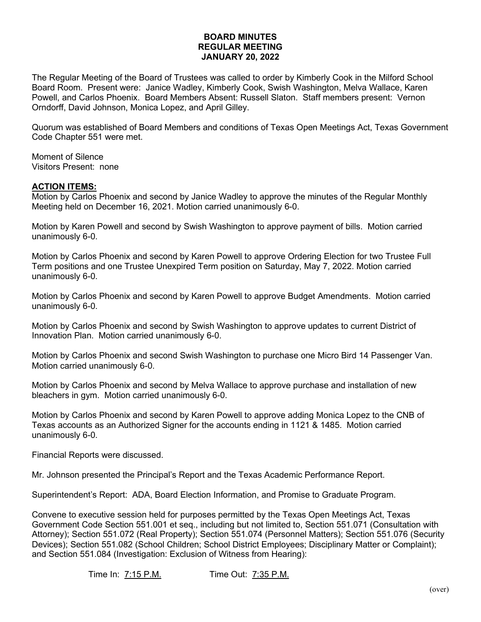## **BOARD MINUTES REGULAR MEETING JANUARY 20, 2022**

The Regular Meeting of the Board of Trustees was called to order by Kimberly Cook in the Milford School Board Room. Present were: Janice Wadley, Kimberly Cook, Swish Washington, Melva Wallace, Karen Powell, and Carlos Phoenix. Board Members Absent: Russell Slaton. Staff members present: Vernon Orndorff, David Johnson, Monica Lopez, and April Gilley.

Quorum was established of Board Members and conditions of Texas Open Meetings Act, Texas Government Code Chapter 551 were met.

Moment of Silence Visitors Present: none

## **ACTION ITEMS:**

Motion by Carlos Phoenix and second by Janice Wadley to approve the minutes of the Regular Monthly Meeting held on December 16, 2021. Motion carried unanimously 6-0.

Motion by Karen Powell and second by Swish Washington to approve payment of bills. Motion carried unanimously 6-0.

Motion by Carlos Phoenix and second by Karen Powell to approve Ordering Election for two Trustee Full Term positions and one Trustee Unexpired Term position on Saturday, May 7, 2022. Motion carried unanimously 6-0.

Motion by Carlos Phoenix and second by Karen Powell to approve Budget Amendments. Motion carried unanimously 6-0.

Motion by Carlos Phoenix and second by Swish Washington to approve updates to current District of Innovation Plan. Motion carried unanimously 6-0.

Motion by Carlos Phoenix and second Swish Washington to purchase one Micro Bird 14 Passenger Van. Motion carried unanimously 6-0.

Motion by Carlos Phoenix and second by Melva Wallace to approve purchase and installation of new bleachers in gym. Motion carried unanimously 6-0.

Motion by Carlos Phoenix and second by Karen Powell to approve adding Monica Lopez to the CNB of Texas accounts as an Authorized Signer for the accounts ending in 1121 & 1485. Motion carried unanimously 6-0.

Financial Reports were discussed.

Mr. Johnson presented the Principal's Report and the Texas Academic Performance Report.

Superintendent's Report: ADA, Board Election Information, and Promise to Graduate Program.

Convene to executive session held for purposes permitted by the Texas Open Meetings Act, Texas Government Code Section 551.001 et seq., including but not limited to, Section 551.071 (Consultation with Attorney); Section 551.072 (Real Property); Section 551.074 (Personnel Matters); Section 551.076 (Security Devices); Section 551.082 (School Children; School District Employees; Disciplinary Matter or Complaint); and Section 551.084 (Investigation: Exclusion of Witness from Hearing):

```
Time In: 7:15 P.M. Time Out: 7:35 P.M.
```